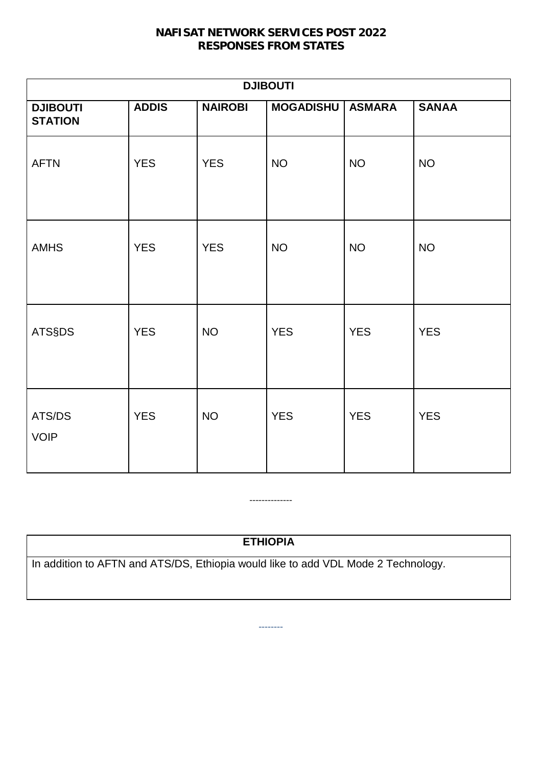### **NAFISAT NETWORK SERVICES POST 2022 RESPONSES FROM STATES**

| <b>DJIBOUTI</b>                   |              |                |                  |               |              |  |
|-----------------------------------|--------------|----------------|------------------|---------------|--------------|--|
| <b>DJIBOUTI</b><br><b>STATION</b> | <b>ADDIS</b> | <b>NAIROBI</b> | <b>MOGADISHU</b> | <b>ASMARA</b> | <b>SANAA</b> |  |
| <b>AFTN</b>                       | <b>YES</b>   | <b>YES</b>     | <b>NO</b>        | <b>NO</b>     | <b>NO</b>    |  |
| <b>AMHS</b>                       | <b>YES</b>   | <b>YES</b>     | <b>NO</b>        | <b>NO</b>     | <b>NO</b>    |  |
| <b>ATS§DS</b>                     | <b>YES</b>   | <b>NO</b>      | <b>YES</b>       | <b>YES</b>    | <b>YES</b>   |  |
| ATS/DS<br><b>VOIP</b>             | <b>YES</b>   | <b>NO</b>      | <b>YES</b>       | <b>YES</b>    | <b>YES</b>   |  |

# **ETHIOPIA**

--------

--------------

In addition to AFTN and ATS/DS, Ethiopia would like to add VDL Mode 2 Technology.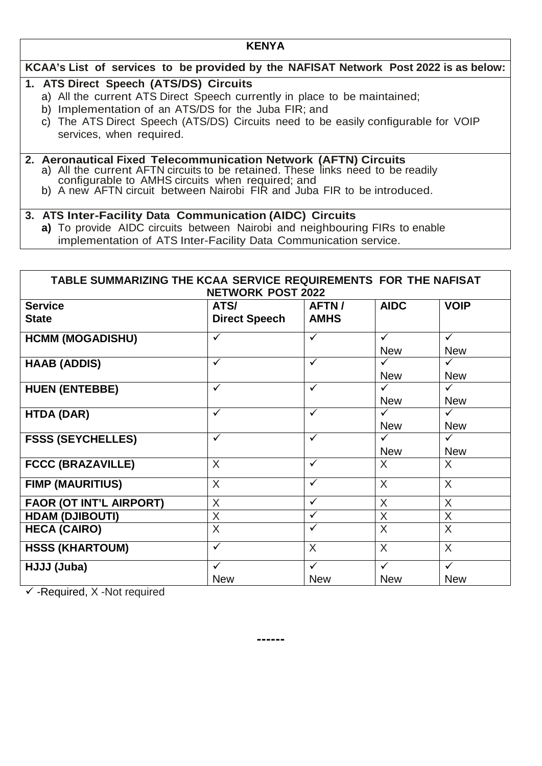#### **KENYA**

#### **KCAA's List of services to be provided by the NAFISAT Network Post 2022 is as below:**

#### **1. ATS Direct Speech (ATS/DS) Circuits**

- a) All the current ATS Direct Speech currently in place to be maintained;
- b) Implementation of an ATS/DS for the Juba FIR; and
- c) The ATS Direct Speech (ATS/DS) Circuits need to be easily configurable for VOIP services, when required.

# **2. Aeronautical Fixed Telecommunication Network (AFTN) Circuits**

- 
- configurable to AMHS circuits when required; and<br>b) A new AFTN circuit between Nairobi FIR and Juba FIR to be introduced.

#### **3. ATS Inter-Facility Data Communication (AIDC) Circuits**

**a)** To provide AIDC circuits between Nairobi and neighbouring FIRs to enable implementation of ATS Inter-Facility Data Communication service.

| TABLE SUMMARIZING THE KCAA SERVICE REQUIREMENTS FOR THE NAFISAT | <b>NETWORK POST 2022</b>     |                            |                            |                                       |
|-----------------------------------------------------------------|------------------------------|----------------------------|----------------------------|---------------------------------------|
| <b>Service</b><br><b>State</b>                                  | ATS/<br><b>Direct Speech</b> | AFTN/<br><b>AMHS</b>       | <b>AIDC</b>                | <b>VOIP</b>                           |
| <b>HCMM (MOGADISHU)</b>                                         | $\checkmark$                 | $\checkmark$               | $\checkmark$<br><b>New</b> | $\checkmark$<br><b>New</b>            |
| <b>HAAB (ADDIS)</b>                                             | $\checkmark$                 | $\checkmark$               | $\checkmark$<br><b>New</b> | $\checkmark$<br><b>New</b>            |
| <b>HUEN (ENTEBBE)</b>                                           | $\checkmark$                 | $\checkmark$               | $\checkmark$<br><b>New</b> | $\checkmark$<br><b>New</b>            |
| <b>HTDA (DAR)</b>                                               | $\checkmark$                 | $\checkmark$               | $\checkmark$<br><b>New</b> | $\checkmark$<br><b>New</b>            |
| <b>FSSS (SEYCHELLES)</b>                                        | $\checkmark$                 | $\checkmark$               | $\checkmark$<br><b>New</b> | $\checkmark$<br><b>New</b>            |
| <b>FCCC (BRAZAVILLE)</b>                                        | X                            | $\checkmark$               | X                          | $\sf X$                               |
| <b>FIMP (MAURITIUS)</b>                                         | $\sf X$                      | $\checkmark$               | $\sf X$                    | $\sf X$                               |
| <b>FAOR (OT INT'L AIRPORT)</b>                                  | X                            | $\checkmark$               | X                          | X                                     |
| <b>HDAM (DJIBOUTI)</b>                                          | $\sf X$                      | $\checkmark$               | X                          | X                                     |
| <b>HECA (CAIRO)</b>                                             | X                            | ✓                          | X                          | X                                     |
| <b>HSSS (KHARTOUM)</b>                                          | $\checkmark$                 | $\sf X$                    | X                          | X                                     |
| HJJJ (Juba)                                                     | $\checkmark$<br><b>New</b>   | $\checkmark$<br><b>New</b> | $\checkmark$<br><b>New</b> | $\overline{\checkmark}$<br><b>New</b> |

 $\checkmark$  -Required, X -Not required

**------**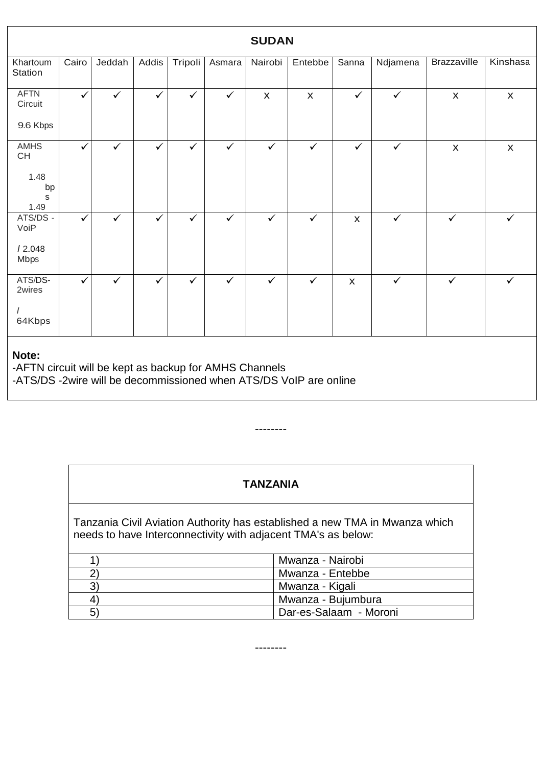| <b>SUDAN</b>                                                    |       |              |              |              |              |                    |                |                    |              |                           |                    |
|-----------------------------------------------------------------|-------|--------------|--------------|--------------|--------------|--------------------|----------------|--------------------|--------------|---------------------------|--------------------|
|                                                                 |       |              |              |              |              |                    |                |                    |              |                           |                    |
| Khartoum<br>Station                                             | Cairo | Jeddah       | Addis        | Tripoli      | Asmara       | Nairobi            | Entebbe        | Sanna              | Ndjamena     | Brazzaville               | Kinshasa           |
| <b>AFTN</b><br>Circuit                                          | ✓     | $\checkmark$ | $\checkmark$ | $\checkmark$ | $\checkmark$ | $\pmb{\mathsf{X}}$ | $\pmb{\times}$ | $\checkmark$       | $\checkmark$ | $\pmb{\mathsf{X}}$        | $\pmb{\mathsf{X}}$ |
| 9.6 Kbps                                                        |       |              |              |              |              |                    |                |                    |              |                           |                    |
| AMHS<br>CH                                                      | ✓     | $\checkmark$ | $\checkmark$ | $\checkmark$ | $\checkmark$ | $\checkmark$       | $\checkmark$   | $\checkmark$       | $\checkmark$ | $\boldsymbol{\mathsf{X}}$ | $\pmb{\mathsf{X}}$ |
| 1.48<br>bp<br>S<br>1.49                                         |       |              |              |              |              |                    |                |                    |              |                           |                    |
| ATS/DS -<br>VoiP                                                | ✓     | $\checkmark$ | $\checkmark$ | $\checkmark$ | $\checkmark$ | $\checkmark$       | $\checkmark$   | $\pmb{\mathsf{X}}$ | $\checkmark$ | $\checkmark$              |                    |
| 12.048<br><b>Mbps</b>                                           |       |              |              |              |              |                    |                |                    |              |                           |                    |
| ATS/DS-<br>2wires                                               | ✓     | $\checkmark$ | $\checkmark$ | $\checkmark$ | $\checkmark$ | $\checkmark$       | $\checkmark$   | $\pmb{\mathsf{X}}$ | $\checkmark$ | $\checkmark$              | $\checkmark$       |
| $\prime$<br>64Kbps                                              |       |              |              |              |              |                    |                |                    |              |                           |                    |
| Note:<br>-AFTN circuit will be kept as backup for AMHS Channels |       |              |              |              |              |                    |                |                    |              |                           |                    |

-ATS/DS -2wire will be decommissioned when ATS/DS VoIP are online

## **TANZANIA**

--------

Tanzania Civil Aviation Authority has established a new TMA in Mwanza which needs to have Interconnectivity with adjacent TMA's as below:

|   | Mwanza - Nairobi       |
|---|------------------------|
|   | Mwanza - Entebbe       |
|   | Mwanza - Kigali        |
| 4 | Mwanza - Bujumbura     |
| b | Dar-es-Salaam - Moroni |

--------